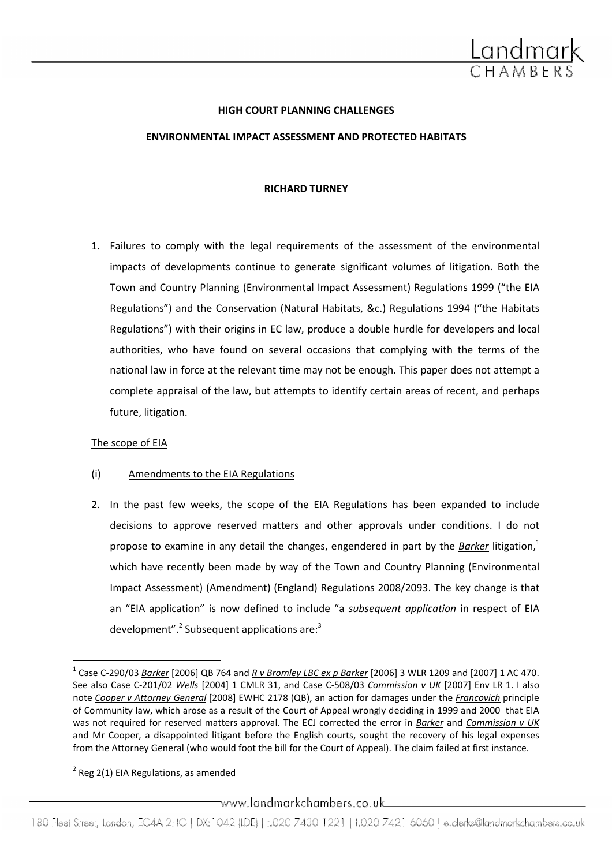

#### HIGH COURT PLANNING CHALLENGES

#### ENVIRONMENTAL IMPACT ASSESSMENT AND PROTECTED HABITATS

#### RICHARD TURNEY

1. Failures to comply with the legal requirements of the assessment of the environmental impacts of developments continue to generate significant volumes of litigation. Both the Town and Country Planning (Environmental Impact Assessment) Regulations 1999 ("the EIA Regulations") and the Conservation (Natural Habitats, &c.) Regulations 1994 ("the Habitats Regulations") with their origins in EC law, produce a double hurdle for developers and local authorities, who have found on several occasions that complying with the terms of the national law in force at the relevant time may not be enough. This paper does not attempt a complete appraisal of the law, but attempts to identify certain areas of recent, and perhaps future, litigation.

# The scope of EIA

 $\overline{a}$ 

# (i) Amendments to the EIA Regulations

2. In the past few weeks, the scope of the EIA Regulations has been expanded to include decisions to approve reserved matters and other approvals under conditions. I do not propose to examine in any detail the changes, engendered in part by the Barker litigation, $1$ which have recently been made by way of the Town and Country Planning (Environmental Impact Assessment) (Amendment) (England) Regulations 2008/2093. The key change is that an "EIA application" is now defined to include "a subsequent application in respect of EIA development".<sup>2</sup> Subsequent applications are:<sup>3</sup>

 $2$  Reg 2(1) EIA Regulations, as amended

 $\hspace{0.1em}$ www.landmarkchambers.co.uk $\hspace{0.1em}$ 

<sup>&</sup>lt;sup>1</sup> Case C-290/03 <u>Barker</u> [2006] QB 764 and <u>R v Bromley LBC ex p Barker</u> [2006] 3 WLR 1209 and [2007] 1 AC 470. See also Case C-201/02 Wells [2004] 1 CMLR 31, and Case C-508/03 Commission v UK [2007] Env LR 1. I also note Cooper v Attorney General [2008] EWHC 2178 (QB), an action for damages under the Francovich principle of Community law, which arose as a result of the Court of Appeal wrongly deciding in 1999 and 2000 that EIA was not required for reserved matters approval. The ECJ corrected the error in Barker and Commission v UK and Mr Cooper, a disappointed litigant before the English courts, sought the recovery of his legal expenses from the Attorney General (who would foot the bill for the Court of Appeal). The claim failed at first instance.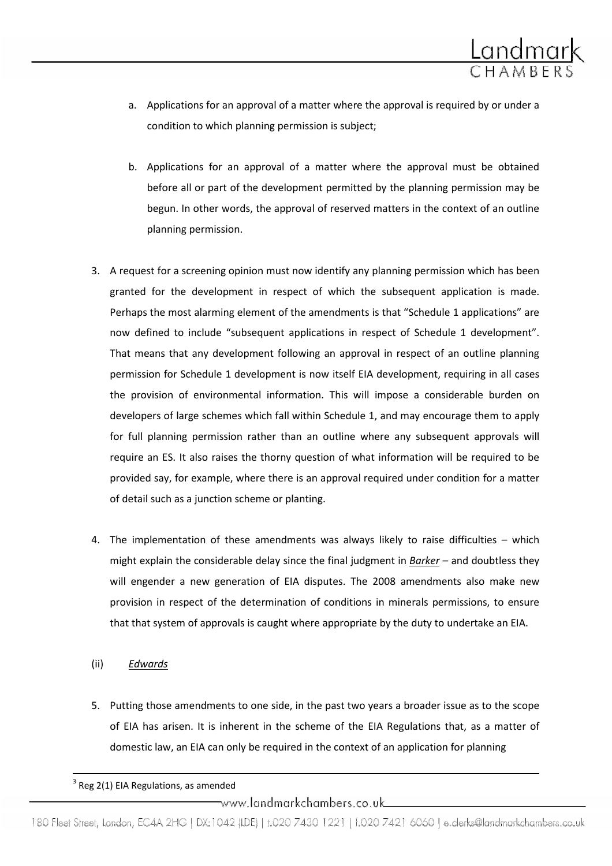

- a. Applications for an approval of a matter where the approval is required by or under a condition to which planning permission is subject;
- b. Applications for an approval of a matter where the approval must be obtained before all or part of the development permitted by the planning permission may be begun. In other words, the approval of reserved matters in the context of an outline planning permission.
- 3. A request for a screening opinion must now identify any planning permission which has been granted for the development in respect of which the subsequent application is made. Perhaps the most alarming element of the amendments is that "Schedule 1 applications" are now defined to include "subsequent applications in respect of Schedule 1 development". That means that any development following an approval in respect of an outline planning permission for Schedule 1 development is now itself EIA development, requiring in all cases the provision of environmental information. This will impose a considerable burden on developers of large schemes which fall within Schedule 1, and may encourage them to apply for full planning permission rather than an outline where any subsequent approvals will require an ES. It also raises the thorny question of what information will be required to be provided say, for example, where there is an approval required under condition for a matter of detail such as a junction scheme or planting.
- 4. The implementation of these amendments was always likely to raise difficulties which might explain the considerable delay since the final judgment in **Barker** - and doubtless they will engender a new generation of EIA disputes. The 2008 amendments also make new provision in respect of the determination of conditions in minerals permissions, to ensure that that system of approvals is caught where appropriate by the duty to undertake an EIA.
- (ii) Edwards

 $\overline{a}$ 

5. Putting those amendments to one side, in the past two years a broader issue as to the scope of EIA has arisen. It is inherent in the scheme of the EIA Regulations that, as a matter of domestic law, an EIA can only be required in the context of an application for planning

\_www.landmarkchambers.co.uk\_

 $3$  Reg 2(1) EIA Regulations, as amended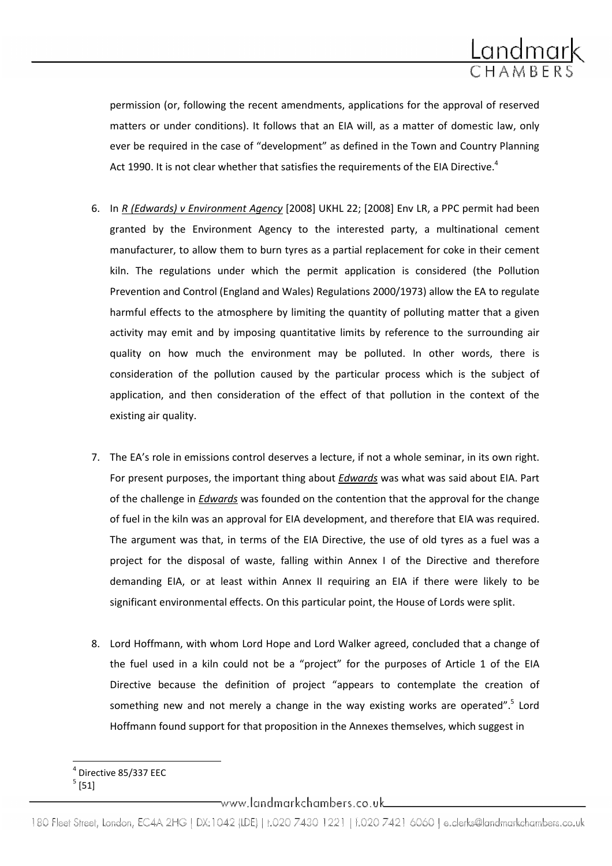

permission (or, following the recent amendments, applications for the approval of reserved matters or under conditions). It follows that an EIA will, as a matter of domestic law, only ever be required in the case of "development" as defined in the Town and Country Planning Act 1990. It is not clear whether that satisfies the requirements of the EIA Directive.<sup>4</sup>

- 6. In R (Edwards) v Environment Agency [2008] UKHL 22; [2008] Env LR, a PPC permit had been granted by the Environment Agency to the interested party, a multinational cement manufacturer, to allow them to burn tyres as a partial replacement for coke in their cement kiln. The regulations under which the permit application is considered (the Pollution Prevention and Control (England and Wales) Regulations 2000/1973) allow the EA to regulate harmful effects to the atmosphere by limiting the quantity of polluting matter that a given activity may emit and by imposing quantitative limits by reference to the surrounding air quality on how much the environment may be polluted. In other words, there is consideration of the pollution caused by the particular process which is the subject of application, and then consideration of the effect of that pollution in the context of the existing air quality.
- 7. The EA's role in emissions control deserves a lecture, if not a whole seminar, in its own right. For present purposes, the important thing about **Edwards** was what was said about EIA. Part of the challenge in Edwards was founded on the contention that the approval for the change of fuel in the kiln was an approval for EIA development, and therefore that EIA was required. The argument was that, in terms of the EIA Directive, the use of old tyres as a fuel was a project for the disposal of waste, falling within Annex I of the Directive and therefore demanding EIA, or at least within Annex II requiring an EIA if there were likely to be significant environmental effects. On this particular point, the House of Lords were split.
- 8. Lord Hoffmann, with whom Lord Hope and Lord Walker agreed, concluded that a change of the fuel used in a kiln could not be a "project" for the purposes of Article 1 of the EIA Directive because the definition of project "appears to contemplate the creation of something new and not merely a change in the way existing works are operated".<sup>5</sup> Lord Hoffmann found support for that proposition in the Annexes themselves, which suggest in

 $^5$  [51]

 $\overline{\phantom{0}}$ 

 $\equiv$ www.landmarkchambers.co.uk $\equiv$ 

<sup>4</sup> Directive 85/337 EEC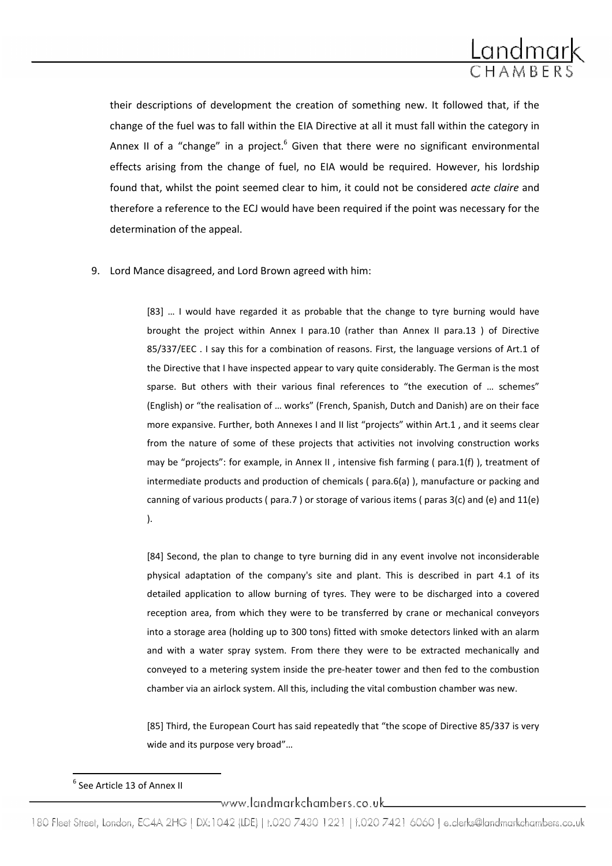

their descriptions of development the creation of something new. It followed that, if the change of the fuel was to fall within the EIA Directive at all it must fall within the category in Annex II of a "change" in a project. $^6$  Given that there were no significant environmental effects arising from the change of fuel, no EIA would be required. However, his lordship found that, whilst the point seemed clear to him, it could not be considered *acte claire* and therefore a reference to the ECJ would have been required if the point was necessary for the determination of the appeal.

9. Lord Mance disagreed, and Lord Brown agreed with him:

[83] … I would have regarded it as probable that the change to tyre burning would have brought the project within Annex I para.10 (rather than Annex II para.13 ) of Directive 85/337/EEC . I say this for a combination of reasons. First, the language versions of Art.1 of the Directive that I have inspected appear to vary quite considerably. The German is the most sparse. But others with their various final references to "the execution of … schemes" (English) or "the realisation of … works" (French, Spanish, Dutch and Danish) are on their face more expansive. Further, both Annexes I and II list "projects" within Art.1 , and it seems clear from the nature of some of these projects that activities not involving construction works may be "projects": for example, in Annex II , intensive fish farming ( para.1(f) ), treatment of intermediate products and production of chemicals ( para.6(a) ), manufacture or packing and canning of various products ( para.7 ) or storage of various items ( paras 3(c) and (e) and 11(e) ).

[84] Second, the plan to change to tyre burning did in any event involve not inconsiderable physical adaptation of the company's site and plant. This is described in part 4.1 of its detailed application to allow burning of tyres. They were to be discharged into a covered reception area, from which they were to be transferred by crane or mechanical conveyors into a storage area (holding up to 300 tons) fitted with smoke detectors linked with an alarm and with a water spray system. From there they were to be extracted mechanically and conveyed to a metering system inside the pre-heater tower and then fed to the combustion chamber via an airlock system. All this, including the vital combustion chamber was new.

[85] Third, the European Court has said repeatedly that "the scope of Directive 85/337 is very wide and its purpose very broad"…

 $\overline{a}$ 

www.landmarkchambers.co.uk\_\_\_\_\_\_\_\_\_

 $^6$  See Article 13 of Annex II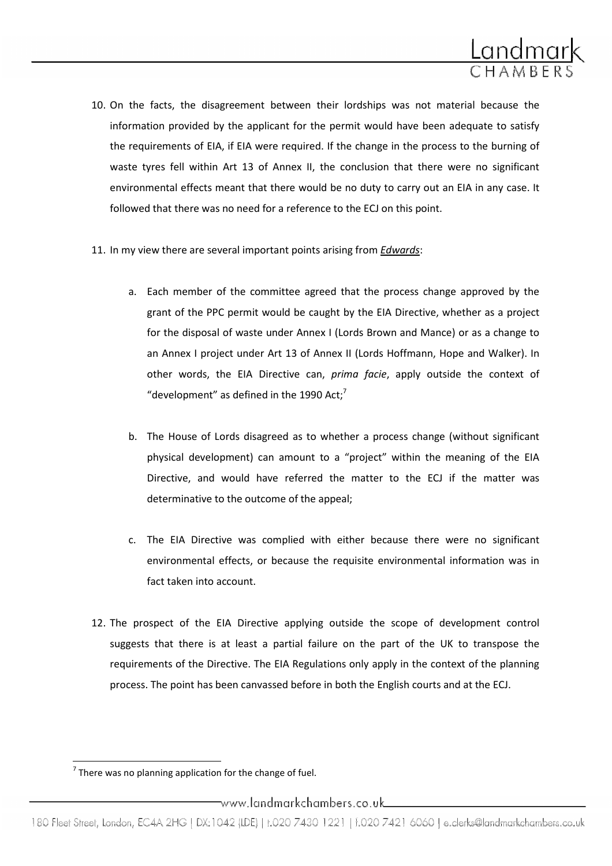

- 10. On the facts, the disagreement between their lordships was not material because the information provided by the applicant for the permit would have been adequate to satisfy the requirements of EIA, if EIA were required. If the change in the process to the burning of waste tyres fell within Art 13 of Annex II, the conclusion that there were no significant environmental effects meant that there would be no duty to carry out an EIA in any case. It followed that there was no need for a reference to the ECJ on this point.
- 11. In my view there are several important points arising from Edwards:
	- a. Each member of the committee agreed that the process change approved by the grant of the PPC permit would be caught by the EIA Directive, whether as a project for the disposal of waste under Annex I (Lords Brown and Mance) or as a change to an Annex I project under Art 13 of Annex II (Lords Hoffmann, Hope and Walker). In other words, the EIA Directive can, prima facie, apply outside the context of "development" as defined in the 1990 Act; $^7$
	- b. The House of Lords disagreed as to whether a process change (without significant physical development) can amount to a "project" within the meaning of the EIA Directive, and would have referred the matter to the ECJ if the matter was determinative to the outcome of the appeal;
	- c. The EIA Directive was complied with either because there were no significant environmental effects, or because the requisite environmental information was in fact taken into account.
- 12. The prospect of the EIA Directive applying outside the scope of development control suggests that there is at least a partial failure on the part of the UK to transpose the requirements of the Directive. The EIA Regulations only apply in the context of the planning process. The point has been canvassed before in both the English courts and at the ECJ.

 $\overline{\phantom{0}}$ 

 $7$  There was no planning application for the change of fuel.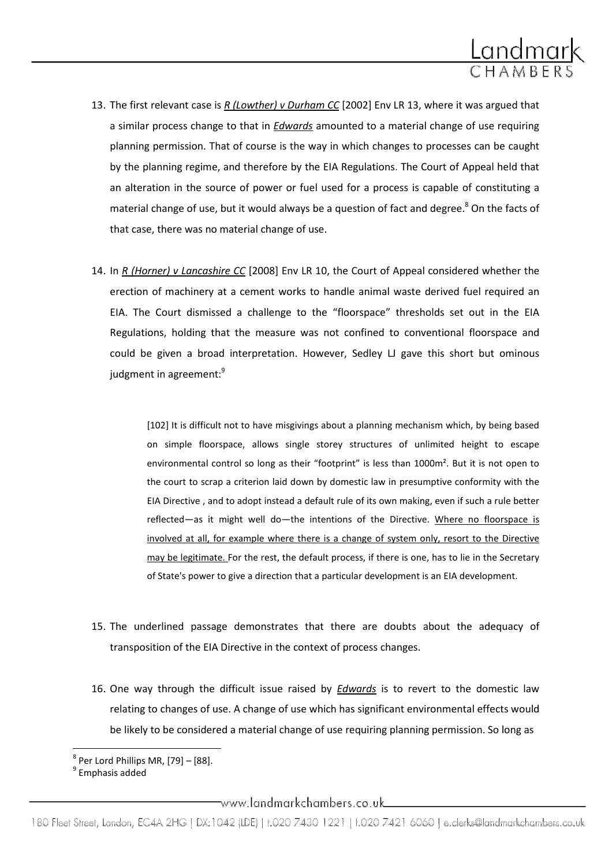

- 13. The first relevant case is R (Lowther) v Durham CC [2002] Env LR 13, where it was argued that a similar process change to that in *Edwards* amounted to a material change of use requiring planning permission. That of course is the way in which changes to processes can be caught by the planning regime, and therefore by the EIA Regulations. The Court of Appeal held that an alteration in the source of power or fuel used for a process is capable of constituting a material change of use, but it would always be a question of fact and degree.<sup>8</sup> On the facts of that case, there was no material change of use.
- 14. In R (Horner) v Lancashire CC [2008] Env LR 10, the Court of Appeal considered whether the erection of machinery at a cement works to handle animal waste derived fuel required an EIA. The Court dismissed a challenge to the "floorspace" thresholds set out in the EIA Regulations, holding that the measure was not confined to conventional floorspace and could be given a broad interpretation. However, Sedley LJ gave this short but ominous judgment in agreement:<sup>9</sup>

[102] It is difficult not to have misgivings about a planning mechanism which, by being based on simple floorspace, allows single storey structures of unlimited height to escape environmental control so long as their "footprint" is less than 1000m<sup>2</sup>. But it is not open to the court to scrap a criterion laid down by domestic law in presumptive conformity with the EIA Directive , and to adopt instead a default rule of its own making, even if such a rule better reflected—as it might well do—the intentions of the Directive. Where no floorspace is involved at all, for example where there is a change of system only, resort to the Directive may be legitimate. For the rest, the default process, if there is one, has to lie in the Secretary of State's power to give a direction that a particular development is an EIA development.

- 15. The underlined passage demonstrates that there are doubts about the adequacy of transposition of the EIA Directive in the context of process changes.
- 16. One way through the difficult issue raised by Edwards is to revert to the domestic law relating to changes of use. A change of use which has significant environmental effects would be likely to be considered a material change of use requiring planning permission. So long as

<sup>&</sup>lt;sup>8</sup> Per Lord Phillips MR, [79] – [88].<br><sup>9</sup> Emphasis added

www.landmarkchambers.co.uk\_\_\_\_\_\_\_\_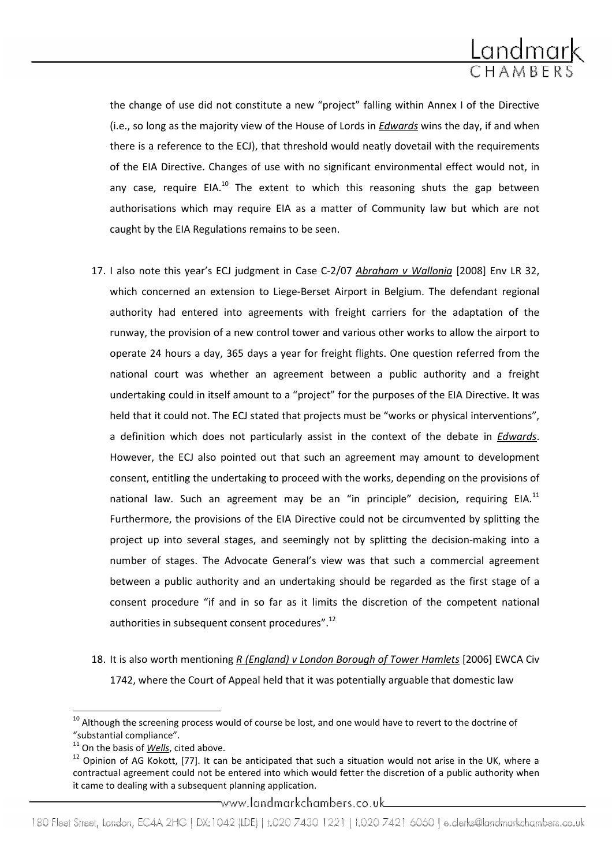

the change of use did not constitute a new "project" falling within Annex I of the Directive (i.e., so long as the majority view of the House of Lords in *Edwards* wins the day, if and when there is a reference to the ECJ), that threshold would neatly dovetail with the requirements of the EIA Directive. Changes of use with no significant environmental effect would not, in any case, require EIA.<sup>10</sup> The extent to which this reasoning shuts the gap between authorisations which may require EIA as a matter of Community law but which are not caught by the EIA Regulations remains to be seen.

- 17. I also note this year's ECJ judgment in Case C-2/07 Abraham v Wallonia [2008] Env LR 32, which concerned an extension to Liege-Berset Airport in Belgium. The defendant regional authority had entered into agreements with freight carriers for the adaptation of the runway, the provision of a new control tower and various other works to allow the airport to operate 24 hours a day, 365 days a year for freight flights. One question referred from the national court was whether an agreement between a public authority and a freight undertaking could in itself amount to a "project" for the purposes of the EIA Directive. It was held that it could not. The ECJ stated that projects must be "works or physical interventions", a definition which does not particularly assist in the context of the debate in Edwards. However, the ECJ also pointed out that such an agreement may amount to development consent, entitling the undertaking to proceed with the works, depending on the provisions of national law. Such an agreement may be an "in principle" decision, requiring EIA. $^{11}$ Furthermore, the provisions of the EIA Directive could not be circumvented by splitting the project up into several stages, and seemingly not by splitting the decision-making into a number of stages. The Advocate General's view was that such a commercial agreement between a public authority and an undertaking should be regarded as the first stage of a consent procedure "if and in so far as it limits the discretion of the competent national authorities in subsequent consent procedures".<sup>12</sup>
- 18. It is also worth mentioning R (England) v London Borough of Tower Hamlets [2006] EWCA Civ 1742, where the Court of Appeal held that it was potentially arguable that domestic law

l

www.landmarkchambers.co.uk\_

180 Fleet Street, London, EC4A 2HG | DX:1042 (IDE) | t.020 7430 1221 | f.020 7421 6060 | e.clerks@landmarkchambers.co.uk

<sup>&</sup>lt;sup>10</sup> Although the screening process would of course be lost, and one would have to revert to the doctrine of "substantial compliance".

 $11$  On the basis of Wells, cited above.

 $12$  Opinion of AG Kokott, [77]. It can be anticipated that such a situation would not arise in the UK, where a contractual agreement could not be entered into which would fetter the discretion of a public authority when it came to dealing with a subsequent planning application.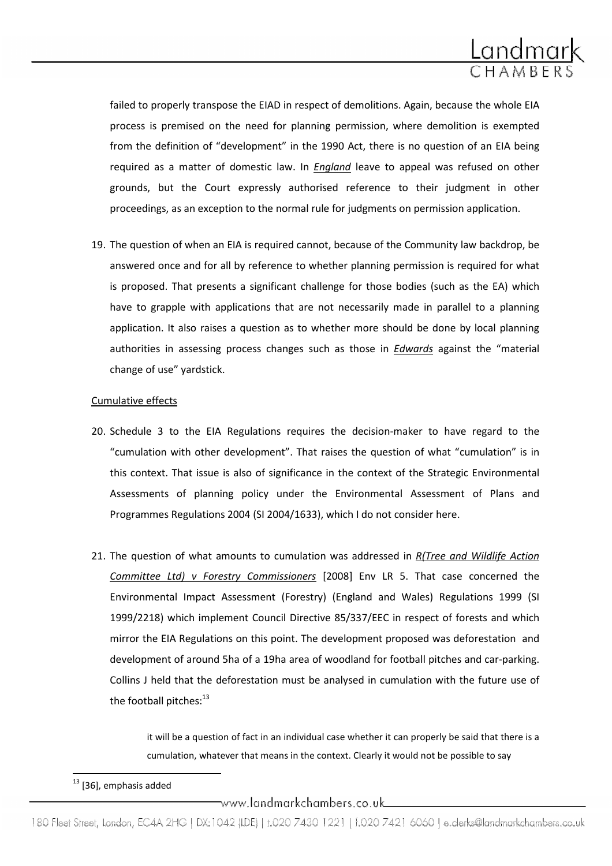

failed to properly transpose the EIAD in respect of demolitions. Again, because the whole EIA process is premised on the need for planning permission, where demolition is exempted from the definition of "development" in the 1990 Act, there is no question of an EIA being required as a matter of domestic law. In *England* leave to appeal was refused on other grounds, but the Court expressly authorised reference to their judgment in other proceedings, as an exception to the normal rule for judgments on permission application.

19. The question of when an EIA is required cannot, because of the Community law backdrop, be answered once and for all by reference to whether planning permission is required for what is proposed. That presents a significant challenge for those bodies (such as the EA) which have to grapple with applications that are not necessarily made in parallel to a planning application. It also raises a question as to whether more should be done by local planning authorities in assessing process changes such as those in *Edwards* against the "material change of use" yardstick.

# Cumulative effects

- 20. Schedule 3 to the EIA Regulations requires the decision-maker to have regard to the "cumulation with other development". That raises the question of what "cumulation" is in this context. That issue is also of significance in the context of the Strategic Environmental Assessments of planning policy under the Environmental Assessment of Plans and Programmes Regulations 2004 (SI 2004/1633), which I do not consider here.
- 21. The question of what amounts to cumulation was addressed in  $R$ (Tree and Wildlife Action Committee Ltd) v Forestry Commissioners [2008] Env LR 5. That case concerned the Environmental Impact Assessment (Forestry) (England and Wales) Regulations 1999 (SI 1999/2218) which implement Council Directive 85/337/EEC in respect of forests and which mirror the EIA Regulations on this point. The development proposed was deforestation and development of around 5ha of a 19ha area of woodland for football pitches and car-parking. Collins J held that the deforestation must be analysed in cumulation with the future use of the football pitches:<sup>13</sup>

it will be a question of fact in an individual case whether it can properly be said that there is a cumulation, whatever that means in the context. Clearly it would not be possible to say

 $\overline{a}$ 

\_www.landmarkchambers.co.uk\_

<sup>&</sup>lt;sup>13</sup> [36], emphasis added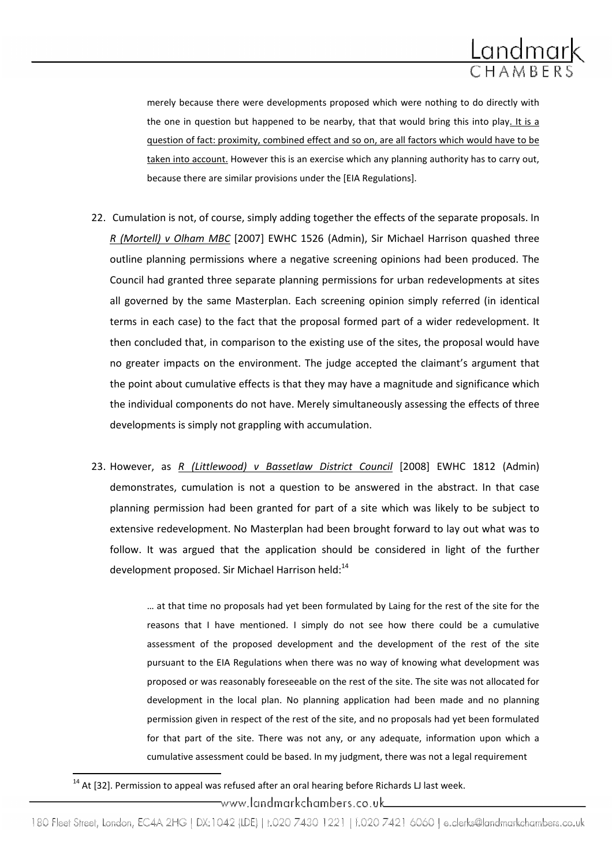

merely because there were developments proposed which were nothing to do directly with the one in question but happened to be nearby, that that would bring this into play. It is a question of fact: proximity, combined effect and so on, are all factors which would have to be taken into account. However this is an exercise which any planning authority has to carry out, because there are similar provisions under the [EIA Regulations].

- 22. Cumulation is not, of course, simply adding together the effects of the separate proposals. In R (Mortell) v Olham MBC [2007] EWHC 1526 (Admin), Sir Michael Harrison quashed three outline planning permissions where a negative screening opinions had been produced. The Council had granted three separate planning permissions for urban redevelopments at sites all governed by the same Masterplan. Each screening opinion simply referred (in identical terms in each case) to the fact that the proposal formed part of a wider redevelopment. It then concluded that, in comparison to the existing use of the sites, the proposal would have no greater impacts on the environment. The judge accepted the claimant's argument that the point about cumulative effects is that they may have a magnitude and significance which the individual components do not have. Merely simultaneously assessing the effects of three developments is simply not grappling with accumulation.
- 23. However, as R (Littlewood) v Bassetlaw District Council [2008] EWHC 1812 (Admin) demonstrates, cumulation is not a question to be answered in the abstract. In that case planning permission had been granted for part of a site which was likely to be subject to extensive redevelopment. No Masterplan had been brought forward to lay out what was to follow. It was argued that the application should be considered in light of the further development proposed. Sir Michael Harrison held:<sup>14</sup>

… at that time no proposals had yet been formulated by Laing for the rest of the site for the reasons that I have mentioned. I simply do not see how there could be a cumulative assessment of the proposed development and the development of the rest of the site pursuant to the EIA Regulations when there was no way of knowing what development was proposed or was reasonably foreseeable on the rest of the site. The site was not allocated for development in the local plan. No planning application had been made and no planning permission given in respect of the rest of the site, and no proposals had yet been formulated for that part of the site. There was not any, or any adequate, information upon which a cumulative assessment could be based. In my judgment, there was not a legal requirement

<sup>14</sup> At [32]. Permission to appeal was refused after an oral hearing before Richards LJ last week.

 $\overline{a}$ 

www.landmarkchambers.co.uk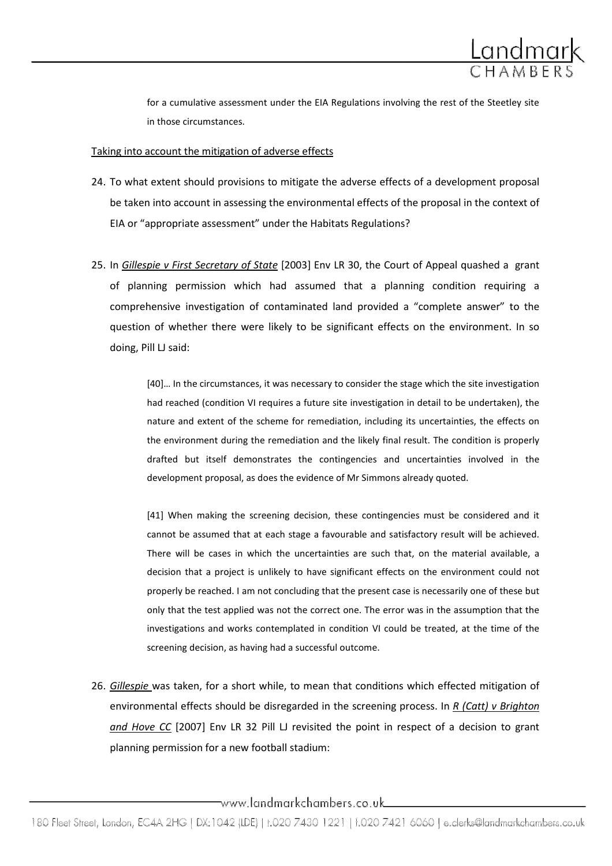

for a cumulative assessment under the EIA Regulations involving the rest of the Steetley site in those circumstances.

# Taking into account the mitigation of adverse effects

- 24. To what extent should provisions to mitigate the adverse effects of a development proposal be taken into account in assessing the environmental effects of the proposal in the context of EIA or "appropriate assessment" under the Habitats Regulations?
- 25. In Gillespie v First Secretary of State [2003] Env LR 30, the Court of Appeal quashed a grant of planning permission which had assumed that a planning condition requiring a comprehensive investigation of contaminated land provided a "complete answer" to the question of whether there were likely to be significant effects on the environment. In so doing, Pill LJ said:

[40]… In the circumstances, it was necessary to consider the stage which the site investigation had reached (condition VI requires a future site investigation in detail to be undertaken), the nature and extent of the scheme for remediation, including its uncertainties, the effects on the environment during the remediation and the likely final result. The condition is properly drafted but itself demonstrates the contingencies and uncertainties involved in the development proposal, as does the evidence of Mr Simmons already quoted.

[41] When making the screening decision, these contingencies must be considered and it cannot be assumed that at each stage a favourable and satisfactory result will be achieved. There will be cases in which the uncertainties are such that, on the material available, a decision that a project is unlikely to have significant effects on the environment could not properly be reached. I am not concluding that the present case is necessarily one of these but only that the test applied was not the correct one. The error was in the assumption that the investigations and works contemplated in condition VI could be treated, at the time of the screening decision, as having had a successful outcome.

26. Gillespie was taken, for a short while, to mean that conditions which effected mitigation of environmental effects should be disregarded in the screening process. In R (Catt) v Brighton and Hove CC [2007] Env LR 32 Pill LJ revisited the point in respect of a decision to grant planning permission for a new football stadium:

www.landmarkchambers.co.uk\_\_\_\_\_\_\_\_\_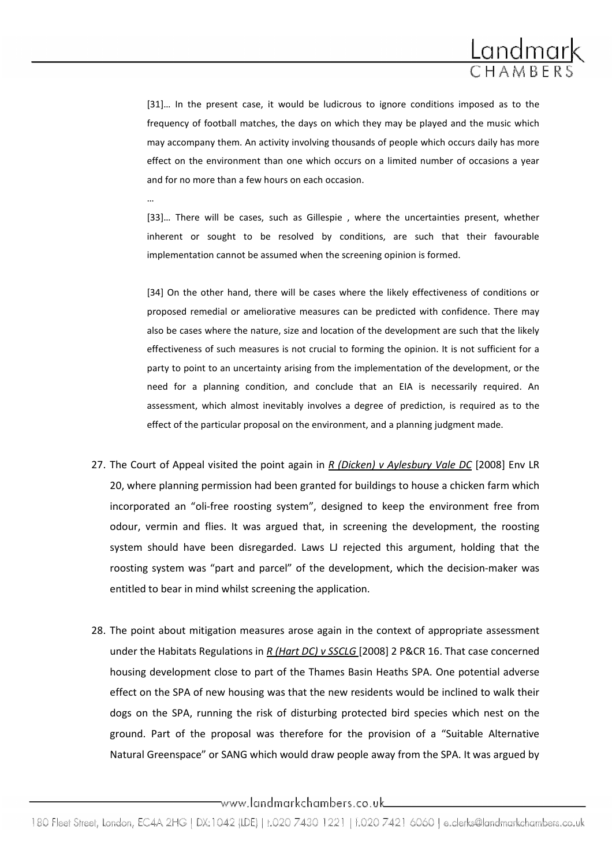

[31]… In the present case, it would be ludicrous to ignore conditions imposed as to the frequency of football matches, the days on which they may be played and the music which may accompany them. An activity involving thousands of people which occurs daily has more effect on the environment than one which occurs on a limited number of occasions a year and for no more than a few hours on each occasion.

[33]… There will be cases, such as Gillespie , where the uncertainties present, whether inherent or sought to be resolved by conditions, are such that their favourable implementation cannot be assumed when the screening opinion is formed.

…

[34] On the other hand, there will be cases where the likely effectiveness of conditions or proposed remedial or ameliorative measures can be predicted with confidence. There may also be cases where the nature, size and location of the development are such that the likely effectiveness of such measures is not crucial to forming the opinion. It is not sufficient for a party to point to an uncertainty arising from the implementation of the development, or the need for a planning condition, and conclude that an EIA is necessarily required. An assessment, which almost inevitably involves a degree of prediction, is required as to the effect of the particular proposal on the environment, and a planning judgment made.

- 27. The Court of Appeal visited the point again in R (Dicken) v Aylesbury Vale DC [2008] Env LR 20, where planning permission had been granted for buildings to house a chicken farm which incorporated an "oli-free roosting system", designed to keep the environment free from odour, vermin and flies. It was argued that, in screening the development, the roosting system should have been disregarded. Laws LJ rejected this argument, holding that the roosting system was "part and parcel" of the development, which the decision-maker was entitled to bear in mind whilst screening the application.
- 28. The point about mitigation measures arose again in the context of appropriate assessment under the Habitats Regulations in R (Hart DC) v SSCLG [2008] 2 P&CR 16. That case concerned housing development close to part of the Thames Basin Heaths SPA. One potential adverse effect on the SPA of new housing was that the new residents would be inclined to walk their dogs on the SPA, running the risk of disturbing protected bird species which nest on the ground. Part of the proposal was therefore for the provision of a "Suitable Alternative Natural Greenspace" or SANG which would draw people away from the SPA. It was argued by

www.landmarkchambers.co.uk\_\_\_\_\_\_\_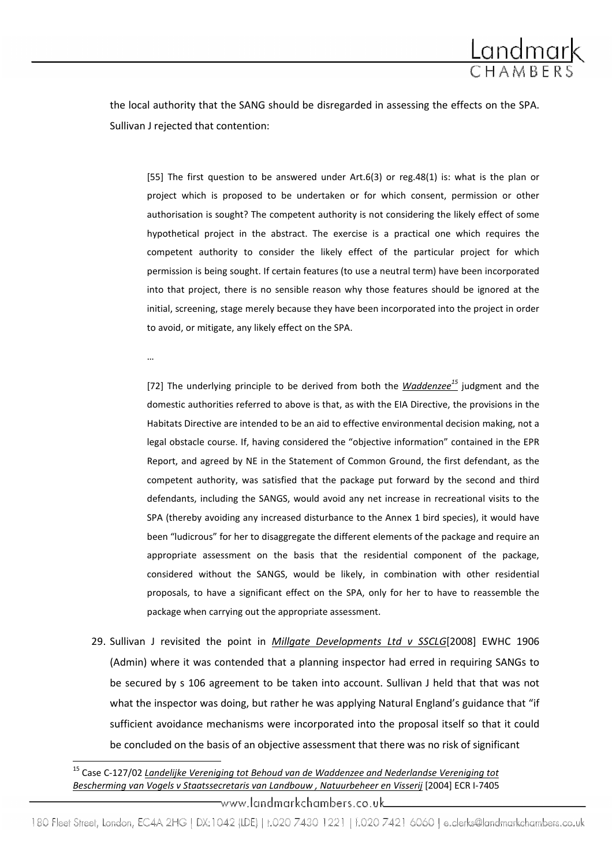

the local authority that the SANG should be disregarded in assessing the effects on the SPA. Sullivan J rejected that contention:

[55] The first question to be answered under Art.6(3) or reg.48(1) is: what is the plan or project which is proposed to be undertaken or for which consent, permission or other authorisation is sought? The competent authority is not considering the likely effect of some hypothetical project in the abstract. The exercise is a practical one which requires the competent authority to consider the likely effect of the particular project for which permission is being sought. If certain features (to use a neutral term) have been incorporated into that project, there is no sensible reason why those features should be ignored at the initial, screening, stage merely because they have been incorporated into the project in order to avoid, or mitigate, any likely effect on the SPA.

…

 $\overline{\phantom{0}}$ 

[72] The underlying principle to be derived from both the  $Waddenze^{15}$  judgment and the domestic authorities referred to above is that, as with the EIA Directive, the provisions in the Habitats Directive are intended to be an aid to effective environmental decision making, not a legal obstacle course. If, having considered the "objective information" contained in the EPR Report, and agreed by NE in the Statement of Common Ground, the first defendant, as the competent authority, was satisfied that the package put forward by the second and third defendants, including the SANGS, would avoid any net increase in recreational visits to the SPA (thereby avoiding any increased disturbance to the Annex 1 bird species), it would have been "ludicrous" for her to disaggregate the different elements of the package and require an appropriate assessment on the basis that the residential component of the package, considered without the SANGS, would be likely, in combination with other residential proposals, to have a significant effect on the SPA, only for her to have to reassemble the package when carrying out the appropriate assessment.

29. Sullivan J revisited the point in *Millgate Developments Ltd v SSCLG*[2008] EWHC 1906 (Admin) where it was contended that a planning inspector had erred in requiring SANGs to be secured by s 106 agreement to be taken into account. Sullivan J held that that was not what the inspector was doing, but rather he was applying Natural England's guidance that "if sufficient avoidance mechanisms were incorporated into the proposal itself so that it could be concluded on the basis of an objective assessment that there was no risk of significant

-www.landmarkchambers.co.uk

<sup>&</sup>lt;sup>15</sup> Case C-127/02 Landelijke Vereniging tot Behoud van de Waddenzee and Nederlandse Vereniging tot Bescherming van Vogels v Staatssecretaris van Landbouw , Natuurbeheer en Visserij [2004] ECR I-7405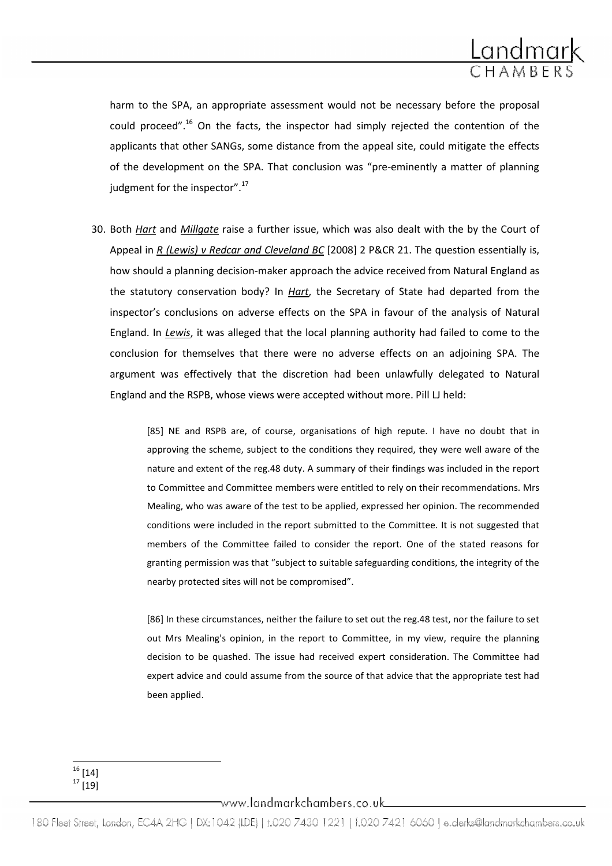

harm to the SPA, an appropriate assessment would not be necessary before the proposal could proceed".<sup>16</sup> On the facts, the inspector had simply rejected the contention of the applicants that other SANGs, some distance from the appeal site, could mitigate the effects of the development on the SPA. That conclusion was "pre-eminently a matter of planning judgment for the inspector".<sup>17</sup>

30. Both Hart and Millgate raise a further issue, which was also dealt with the by the Court of Appeal in R (Lewis) v Redcar and Cleveland BC [2008] 2 P&CR 21. The question essentially is, how should a planning decision-maker approach the advice received from Natural England as the statutory conservation body? In Hart, the Secretary of State had departed from the inspector's conclusions on adverse effects on the SPA in favour of the analysis of Natural England. In Lewis, it was alleged that the local planning authority had failed to come to the conclusion for themselves that there were no adverse effects on an adjoining SPA. The argument was effectively that the discretion had been unlawfully delegated to Natural England and the RSPB, whose views were accepted without more. Pill LJ held:

> [85] NE and RSPB are, of course, organisations of high repute. I have no doubt that in approving the scheme, subject to the conditions they required, they were well aware of the nature and extent of the reg.48 duty. A summary of their findings was included in the report to Committee and Committee members were entitled to rely on their recommendations. Mrs Mealing, who was aware of the test to be applied, expressed her opinion. The recommended conditions were included in the report submitted to the Committee. It is not suggested that members of the Committee failed to consider the report. One of the stated reasons for granting permission was that "subject to suitable safeguarding conditions, the integrity of the nearby protected sites will not be compromised".

> [86] In these circumstances, neither the failure to set out the reg.48 test, nor the failure to set out Mrs Mealing's opinion, in the report to Committee, in my view, require the planning decision to be quashed. The issue had received expert consideration. The Committee had expert advice and could assume from the source of that advice that the appropriate test had been applied.

 $\neg$ www.landmarkchambers.co.uk $\qquad \qquad$ 

 $\overline{\phantom{0}}$  $^{16}$  [14]  $17 \overline{191}$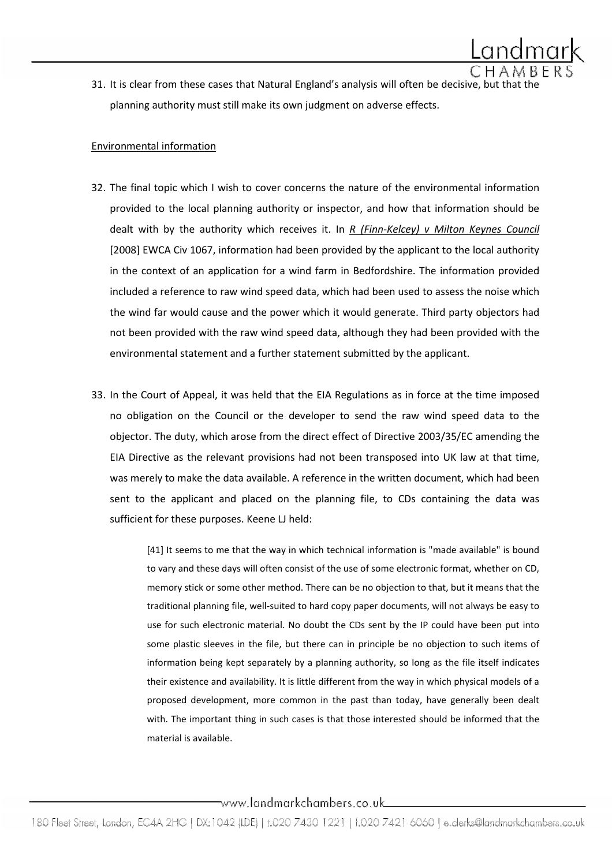31. It is clear from these cases that Natural England's analysis will often be decisive, but that the planning authority must still make its own judgment on adverse effects.

# Environmental information

- 32. The final topic which I wish to cover concerns the nature of the environmental information provided to the local planning authority or inspector, and how that information should be dealt with by the authority which receives it. In  $R$  (Finn-Kelcey) v Milton Keynes Council [2008] EWCA Civ 1067, information had been provided by the applicant to the local authority in the context of an application for a wind farm in Bedfordshire. The information provided included a reference to raw wind speed data, which had been used to assess the noise which the wind far would cause and the power which it would generate. Third party objectors had not been provided with the raw wind speed data, although they had been provided with the environmental statement and a further statement submitted by the applicant.
- 33. In the Court of Appeal, it was held that the EIA Regulations as in force at the time imposed no obligation on the Council or the developer to send the raw wind speed data to the objector. The duty, which arose from the direct effect of Directive 2003/35/EC amending the EIA Directive as the relevant provisions had not been transposed into UK law at that time, was merely to make the data available. A reference in the written document, which had been sent to the applicant and placed on the planning file, to CDs containing the data was sufficient for these purposes. Keene LJ held:

[41] It seems to me that the way in which technical information is "made available" is bound to vary and these days will often consist of the use of some electronic format, whether on CD, memory stick or some other method. There can be no objection to that, but it means that the traditional planning file, well-suited to hard copy paper documents, will not always be easy to use for such electronic material. No doubt the CDs sent by the IP could have been put into some plastic sleeves in the file, but there can in principle be no objection to such items of information being kept separately by a planning authority, so long as the file itself indicates their existence and availability. It is little different from the way in which physical models of a proposed development, more common in the past than today, have generally been dealt with. The important thing in such cases is that those interested should be informed that the material is available.

www.landmarkchambers.co.uk\_\_\_\_\_\_\_\_\_\_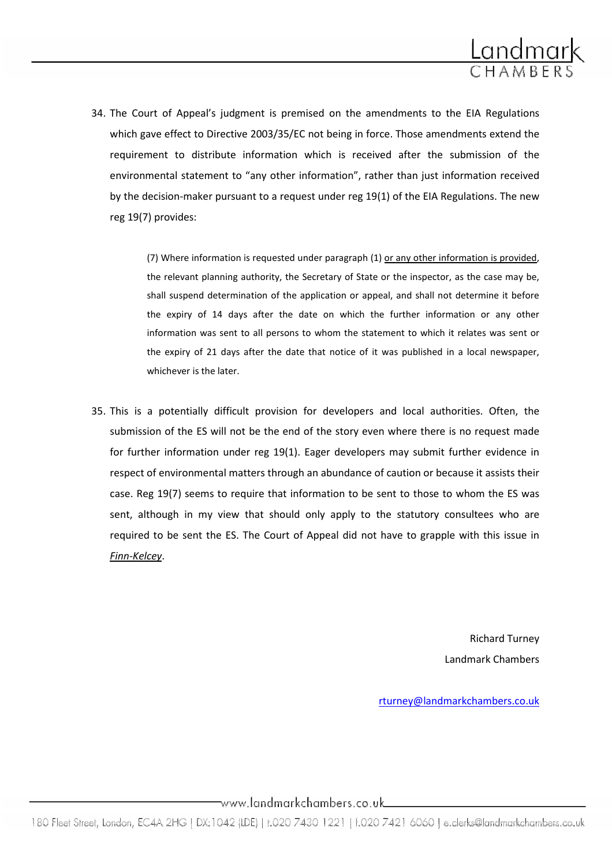

34. The Court of Appeal's judgment is premised on the amendments to the EIA Regulations which gave effect to Directive 2003/35/EC not being in force. Those amendments extend the requirement to distribute information which is received after the submission of the environmental statement to "any other information", rather than just information received by the decision-maker pursuant to a request under reg 19(1) of the EIA Regulations. The new reg 19(7) provides:

> (7) Where information is requested under paragraph (1) or any other information is provided, the relevant planning authority, the Secretary of State or the inspector, as the case may be, shall suspend determination of the application or appeal, and shall not determine it before the expiry of 14 days after the date on which the further information or any other information was sent to all persons to whom the statement to which it relates was sent or the expiry of 21 days after the date that notice of it was published in a local newspaper, whichever is the later

35. This is a potentially difficult provision for developers and local authorities. Often, the submission of the ES will not be the end of the story even where there is no request made for further information under reg 19(1). Eager developers may submit further evidence in respect of environmental matters through an abundance of caution or because it assists their case. Reg 19(7) seems to require that information to be sent to those to whom the ES was sent, although in my view that should only apply to the statutory consultees who are required to be sent the ES. The Court of Appeal did not have to grapple with this issue in Finn-Kelcey.

> Richard Turney Landmark Chambers

rturney@landmarkchambers.co.uk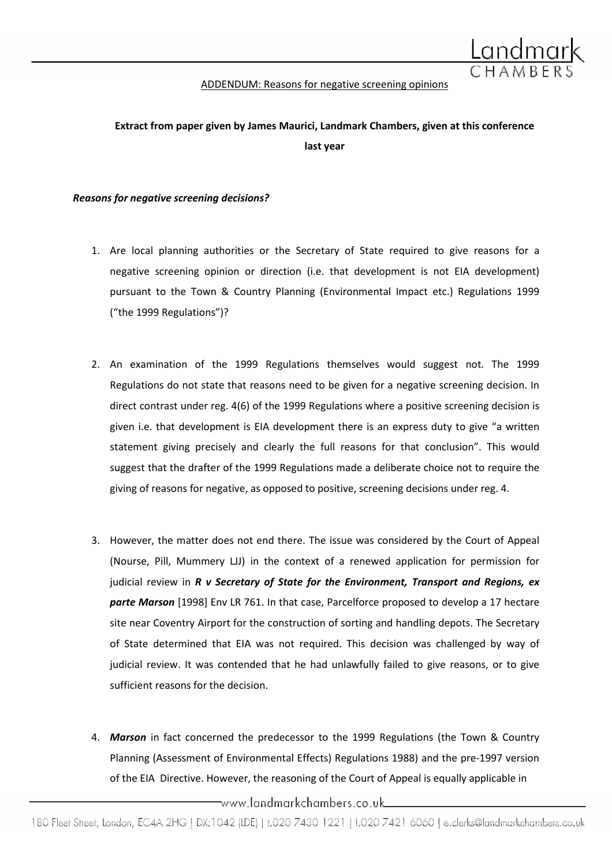

#### ADDENDUM: Reasons for negative screening opinions

# Extract from paper given by James Maurici, Landmark Chambers, given at this conference last year

#### Reasons for negative screening decisions?

- 1. Are local planning authorities or the Secretary of State required to give reasons for a negative screening opinion or direction (i.e. that development is not EIA development) pursuant to the Town & Country Planning (Environmental Impact etc.) Regulations 1999 ("the 1999 Regulations")?
- 2. An examination of the 1999 Regulations themselves would suggest not. The 1999 Regulations do not state that reasons need to be given for a negative screening decision. In direct contrast under reg. 4(6) of the 1999 Regulations where a positive screening decision is given i.e. that development is EIA development there is an express duty to give "a written statement giving precisely and clearly the full reasons for that conclusion". This would suggest that the drafter of the 1999 Regulations made a deliberate choice not to require the giving of reasons for negative, as opposed to positive, screening decisions under reg. 4.
- 3. However, the matter does not end there. The issue was considered by the Court of Appeal (Nourse, Pill, Mummery LJJ) in the context of a renewed application for permission for judicial review in  $R$  v Secretary of State for the Environment, Transport and Regions, ex parte Marson [1998] Env LR 761. In that case, Parcelforce proposed to develop a 17 hectare site near Coventry Airport for the construction of sorting and handling depots. The Secretary of State determined that EIA was not required. This decision was challenged by way of judicial review. It was contended that he had unlawfully failed to give reasons, or to give sufficient reasons for the decision.
- 4. Marson in fact concerned the predecessor to the 1999 Regulations (the Town & Country Planning (Assessment of Environmental Effects) Regulations 1988) and the pre-1997 version of the EIA Directive. However, the reasoning of the Court of Appeal is equally applicable in

\_www.landmarkchambers.co.uk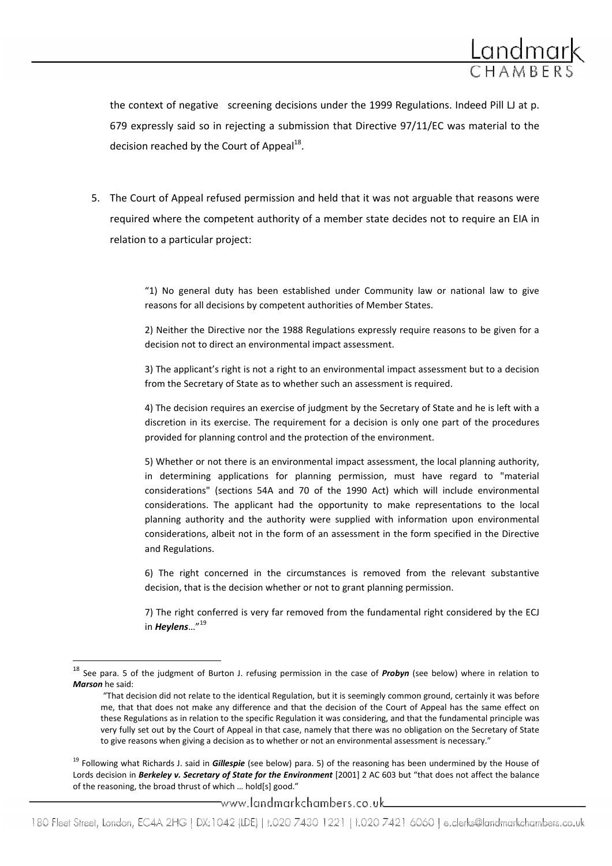

the context of negative screening decisions under the 1999 Regulations. Indeed Pill LJ at p. 679 expressly said so in rejecting a submission that Directive 97/11/EC was material to the decision reached by the Court of Appeal $^{18}$ .

5. The Court of Appeal refused permission and held that it was not arguable that reasons were required where the competent authority of a member state decides not to require an EIA in relation to a particular project:

> "1) No general duty has been established under Community law or national law to give reasons for all decisions by competent authorities of Member States.

> 2) Neither the Directive nor the 1988 Regulations expressly require reasons to be given for a decision not to direct an environmental impact assessment.

> 3) The applicant's right is not a right to an environmental impact assessment but to a decision from the Secretary of State as to whether such an assessment is required.

> 4) The decision requires an exercise of judgment by the Secretary of State and he is left with a discretion in its exercise. The requirement for a decision is only one part of the procedures provided for planning control and the protection of the environment.

> 5) Whether or not there is an environmental impact assessment, the local planning authority, in determining applications for planning permission, must have regard to "material considerations" (sections 54A and 70 of the 1990 Act) which will include environmental considerations. The applicant had the opportunity to make representations to the local planning authority and the authority were supplied with information upon environmental considerations, albeit not in the form of an assessment in the form specified in the Directive and Regulations.

> 6) The right concerned in the circumstances is removed from the relevant substantive decision, that is the decision whether or not to grant planning permission.

> 7) The right conferred is very far removed from the fundamental right considered by the ECJ in Heylens... $n^{19}$

 $\overline{a}$ 

<sup>19</sup> Following what Richards J. said in *Gillespie* (see below) para. 5) of the reasoning has been undermined by the House of Lords decision in Berkeley v. Secretary of State for the Environment [2001] 2 AC 603 but "that does not affect the balance of the reasoning, the broad thrust of which … hold[s] good."

\_www.landmarkchambers.co.uk

 $18$  See para. 5 of the judgment of Burton J. refusing permission in the case of *Probyn* (see below) where in relation to Marson he said:

<sup>&</sup>quot;That decision did not relate to the identical Regulation, but it is seemingly common ground, certainly it was before me, that that does not make any difference and that the decision of the Court of Appeal has the same effect on these Regulations as in relation to the specific Regulation it was considering, and that the fundamental principle was very fully set out by the Court of Appeal in that case, namely that there was no obligation on the Secretary of State to give reasons when giving a decision as to whether or not an environmental assessment is necessary."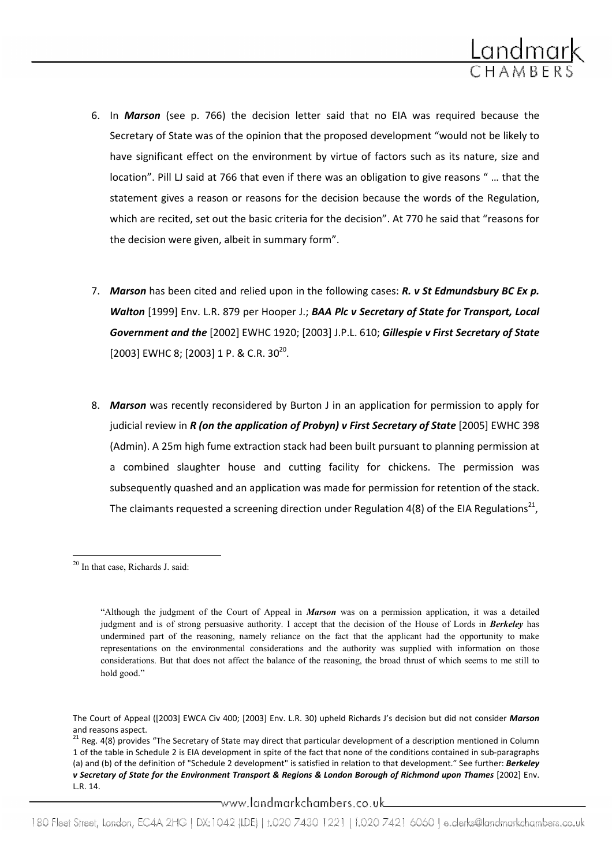

- 6. In Marson (see p. 766) the decision letter said that no EIA was required because the Secretary of State was of the opinion that the proposed development "would not be likely to have significant effect on the environment by virtue of factors such as its nature, size and location". Pill LJ said at 766 that even if there was an obligation to give reasons " … that the statement gives a reason or reasons for the decision because the words of the Regulation, which are recited, set out the basic criteria for the decision". At 770 he said that "reasons for the decision were given, albeit in summary form".
- 7. Marson has been cited and relied upon in the following cases: R. v St Edmundsbury BC Ex p. Walton [1999] Env. L.R. 879 per Hooper J.; BAA Plc v Secretary of State for Transport, Local Government and the [2002] EWHC 1920; [2003] J.P.L. 610; Gillespie v First Secretary of State [2003] EWHC 8; [2003] 1 P. & C.R. 30<sup>20</sup>.
- 8. Marson was recently reconsidered by Burton J in an application for permission to apply for judicial review in  $R$  (on the application of Probyn) v First Secretary of State  $[2005]$  EWHC 398 (Admin). A 25m high fume extraction stack had been built pursuant to planning permission at a combined slaughter house and cutting facility for chickens. The permission was subsequently quashed and an application was made for permission for retention of the stack. The claimants requested a screening direction under Regulation 4(8) of the EIA Regulations<sup>21</sup>,

 $\overline{a}$ 

\_www.landmarkchambers.co.uk\_\_\_

<sup>20</sup> In that case, Richards J. said:

<sup>&</sup>quot;Although the judgment of the Court of Appeal in Marson was on a permission application, it was a detailed judgment and is of strong persuasive authority. I accept that the decision of the House of Lords in Berkeley has undermined part of the reasoning, namely reliance on the fact that the applicant had the opportunity to make representations on the environmental considerations and the authority was supplied with information on those considerations. But that does not affect the balance of the reasoning, the broad thrust of which seems to me still to hold good."

The Court of Appeal ([2003] EWCA Civ 400; [2003] Env. L.R. 30) upheld Richards J's decision but did not consider Marson and reasons aspect.

<sup>&</sup>lt;sup>21</sup> Reg. 4(8) provides "The Secretary of State may direct that particular development of a description mentioned in Column 1 of the table in Schedule 2 is EIA development in spite of the fact that none of the conditions contained in sub-paragraphs (a) and (b) of the definition of "Schedule 2 development" is satisfied in relation to that development." See further: Berkeley v Secretary of State for the Environment Transport & Regions & London Borough of Richmond upon Thames [2002] Env. L.R. 14.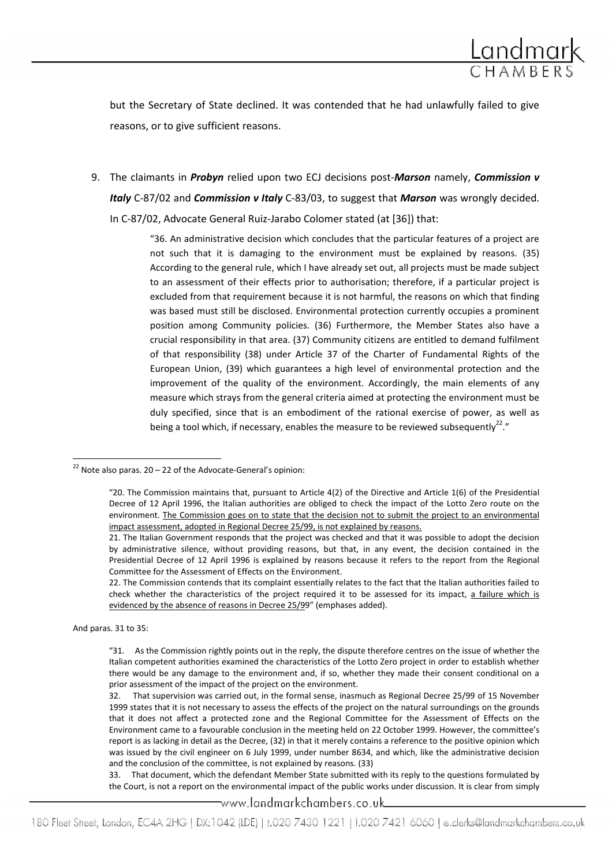

but the Secretary of State declined. It was contended that he had unlawfully failed to give reasons, or to give sufficient reasons.

9. The claimants in *Probyn* relied upon two ECJ decisions post-Marson namely, Commission v Italy C-87/02 and Commission v Italy C-83/03, to suggest that Marson was wrongly decided. In C-87/02, Advocate General Ruiz-Jarabo Colomer stated (at [36]) that:

"36. An administrative decision which concludes that the particular features of a project are

not such that it is damaging to the environment must be explained by reasons. (35) According to the general rule, which I have already set out, all projects must be made subject to an assessment of their effects prior to authorisation; therefore, if a particular project is excluded from that requirement because it is not harmful, the reasons on which that finding was based must still be disclosed. Environmental protection currently occupies a prominent position among Community policies. (36) Furthermore, the Member States also have a crucial responsibility in that area. (37) Community citizens are entitled to demand fulfilment of that responsibility (38) under Article 37 of the Charter of Fundamental Rights of the European Union, (39) which guarantees a high level of environmental protection and the improvement of the quality of the environment. Accordingly, the main elements of any measure which strays from the general criteria aimed at protecting the environment must be duly specified, since that is an embodiment of the rational exercise of power, as well as being a tool which, if necessary, enables the measure to be reviewed subsequently<sup>22</sup>."

And paras. 31 to 35:

l

www.landmarkchambers.co.uk\_

 $^{22}$  Note also paras. 20 – 22 of the Advocate-General's opinion:

<sup>&</sup>quot;20. The Commission maintains that, pursuant to Article 4(2) of the Directive and Article 1(6) of the Presidential Decree of 12 April 1996, the Italian authorities are obliged to check the impact of the Lotto Zero route on the environment. The Commission goes on to state that the decision not to submit the project to an environmental impact assessment, adopted in Regional Decree 25/99, is not explained by reasons.

<sup>21.</sup> The Italian Government responds that the project was checked and that it was possible to adopt the decision by administrative silence, without providing reasons, but that, in any event, the decision contained in the Presidential Decree of 12 April 1996 is explained by reasons because it refers to the report from the Regional Committee for the Assessment of Effects on the Environment.

<sup>22.</sup> The Commission contends that its complaint essentially relates to the fact that the Italian authorities failed to check whether the characteristics of the project required it to be assessed for its impact, a failure which is evidenced by the absence of reasons in Decree 25/99" (emphases added).

<sup>&</sup>quot;31. As the Commission rightly points out in the reply, the dispute therefore centres on the issue of whether the Italian competent authorities examined the characteristics of the Lotto Zero project in order to establish whether there would be any damage to the environment and, if so, whether they made their consent conditional on a prior assessment of the impact of the project on the environment.

<sup>32.</sup> That supervision was carried out, in the formal sense, inasmuch as Regional Decree 25/99 of 15 November 1999 states that it is not necessary to assess the effects of the project on the natural surroundings on the grounds that it does not affect a protected zone and the Regional Committee for the Assessment of Effects on the Environment came to a favourable conclusion in the meeting held on 22 October 1999. However, the committee's report is as lacking in detail as the Decree, (32) in that it merely contains a reference to the positive opinion which was issued by the civil engineer on 6 July 1999, under number 8634, and which, like the administrative decision and the conclusion of the committee, is not explained by reasons. (33)

<sup>33.</sup> That document, which the defendant Member State submitted with its reply to the questions formulated by the Court, is not a report on the environmental impact of the public works under discussion. It is clear from simply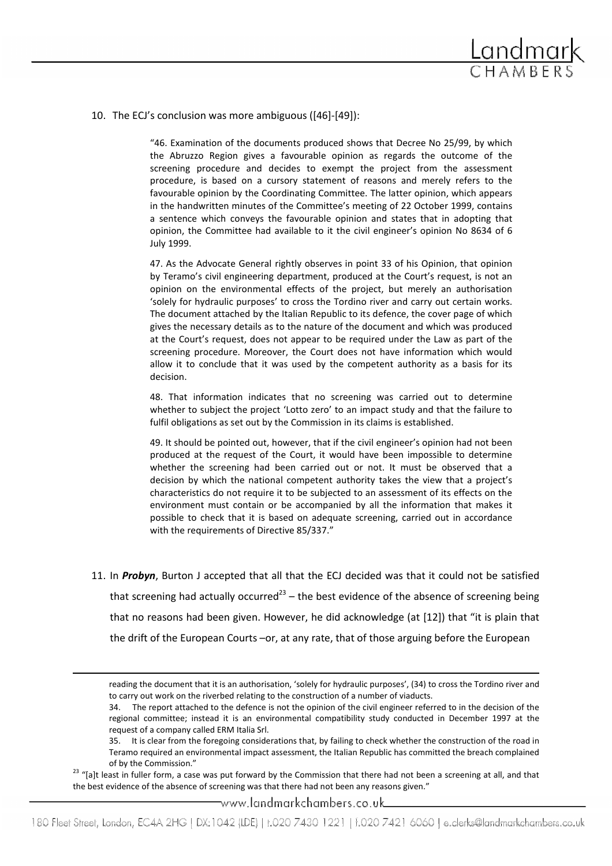

10. The ECJ's conclusion was more ambiguous ([46]-[49]):

"46. Examination of the documents produced shows that Decree No 25/99, by which the Abruzzo Region gives a favourable opinion as regards the outcome of the screening procedure and decides to exempt the project from the assessment procedure, is based on a cursory statement of reasons and merely refers to the favourable opinion by the Coordinating Committee. The latter opinion, which appears in the handwritten minutes of the Committee's meeting of 22 October 1999, contains a sentence which conveys the favourable opinion and states that in adopting that opinion, the Committee had available to it the civil engineer's opinion No 8634 of 6 July 1999.

47. As the Advocate General rightly observes in point 33 of his Opinion, that opinion by Teramo's civil engineering department, produced at the Court's request, is not an opinion on the environmental effects of the project, but merely an authorisation 'solely for hydraulic purposes' to cross the Tordino river and carry out certain works. The document attached by the Italian Republic to its defence, the cover page of which gives the necessary details as to the nature of the document and which was produced at the Court's request, does not appear to be required under the Law as part of the screening procedure. Moreover, the Court does not have information which would allow it to conclude that it was used by the competent authority as a basis for its decision.

48. That information indicates that no screening was carried out to determine whether to subject the project 'Lotto zero' to an impact study and that the failure to fulfil obligations as set out by the Commission in its claims is established.

49. It should be pointed out, however, that if the civil engineer's opinion had not been produced at the request of the Court, it would have been impossible to determine whether the screening had been carried out or not. It must be observed that a decision by which the national competent authority takes the view that a project's characteristics do not require it to be subjected to an assessment of its effects on the environment must contain or be accompanied by all the information that makes it possible to check that it is based on adequate screening, carried out in accordance with the requirements of Directive 85/337."

11. In Probyn, Burton J accepted that all that the ECJ decided was that it could not be satisfied that screening had actually occurred<sup>23</sup> – the best evidence of the absence of screening being that no reasons had been given. However, he did acknowledge (at [12]) that "it is plain that the drift of the European Courts –or, at any rate, that of those arguing before the European

reading the document that it is an authorisation, 'solely for hydraulic purposes', (34) to cross the Tordino river and to carry out work on the riverbed relating to the construction of a number of viaducts.

<sup>23</sup> "[a]t least in fuller form, a case was put forward by the Commission that there had not been a screening at all, and that the best evidence of the absence of screening was that there had not been any reasons given."

l

www.landmarkchambers.co.uk\_

<sup>34.</sup> The report attached to the defence is not the opinion of the civil engineer referred to in the decision of the regional committee; instead it is an environmental compatibility study conducted in December 1997 at the request of a company called ERM Italia Srl.

<sup>35.</sup> It is clear from the foregoing considerations that, by failing to check whether the construction of the road in Teramo required an environmental impact assessment, the Italian Republic has committed the breach complained of by the Commission."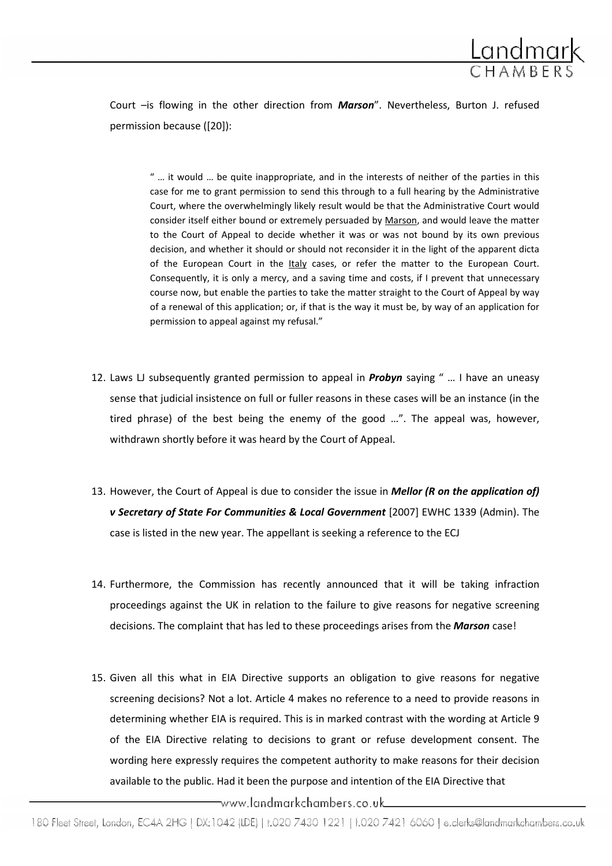

Court -is flowing in the other direction from Marson". Nevertheless, Burton J. refused permission because ([20]):

" … it would … be quite inappropriate, and in the interests of neither of the parties in this case for me to grant permission to send this through to a full hearing by the Administrative Court, where the overwhelmingly likely result would be that the Administrative Court would consider itself either bound or extremely persuaded by Marson, and would leave the matter to the Court of Appeal to decide whether it was or was not bound by its own previous decision, and whether it should or should not reconsider it in the light of the apparent dicta of the European Court in the Italy cases, or refer the matter to the European Court. Consequently, it is only a mercy, and a saving time and costs, if I prevent that unnecessary course now, but enable the parties to take the matter straight to the Court of Appeal by way of a renewal of this application; or, if that is the way it must be, by way of an application for permission to appeal against my refusal."

- 12. Laws LJ subsequently granted permission to appeal in **Probyn** saying " ... I have an uneasy sense that judicial insistence on full or fuller reasons in these cases will be an instance (in the tired phrase) of the best being the enemy of the good …". The appeal was, however, withdrawn shortly before it was heard by the Court of Appeal.
- 13. However, the Court of Appeal is due to consider the issue in **Mellor (R on the application of)** v Secretary of State For Communities & Local Government [2007] EWHC 1339 (Admin). The case is listed in the new year. The appellant is seeking a reference to the ECJ
- 14. Furthermore, the Commission has recently announced that it will be taking infraction proceedings against the UK in relation to the failure to give reasons for negative screening decisions. The complaint that has led to these proceedings arises from the Marson case!
- 15. Given all this what in EIA Directive supports an obligation to give reasons for negative screening decisions? Not a lot. Article 4 makes no reference to a need to provide reasons in determining whether EIA is required. This is in marked contrast with the wording at Article 9 of the EIA Directive relating to decisions to grant or refuse development consent. The wording here expressly requires the competent authority to make reasons for their decision available to the public. Had it been the purpose and intention of the EIA Directive that

\_www.landmarkchambers.co.uk\_